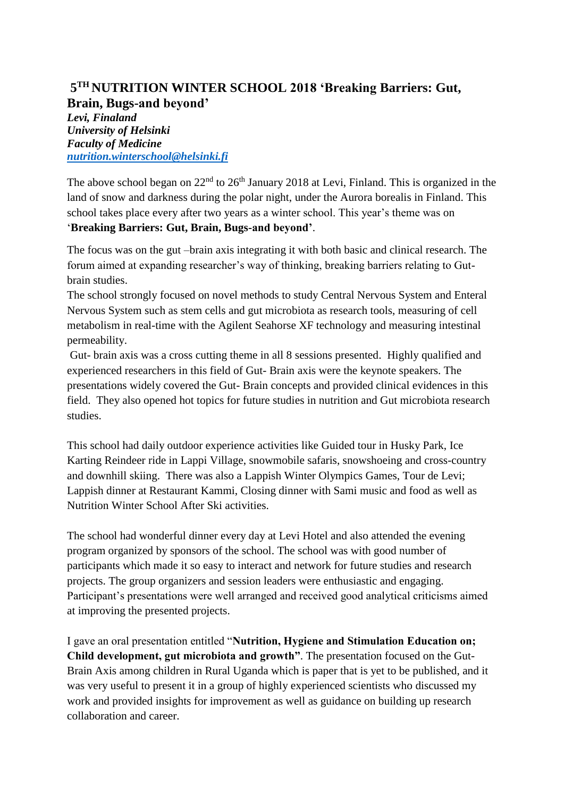## **5 TH NUTRITION WINTER SCHOOL 2018 'Breaking Barriers: Gut, Brain, Bugs-and beyond'**

*Levi, Finaland University of Helsinki Faculty of Medicine [nutrition.winterschool@helsinki.fi](mailto:nutrition.winterschool@helsinki.fi)*

The above school began on  $22<sup>nd</sup>$  to  $26<sup>th</sup>$  January 2018 at Levi, Finland. This is organized in the land of snow and darkness during the polar night, under the Aurora borealis in Finland. This school takes place every after two years as a winter school. This year's theme was on '**Breaking Barriers: Gut, Brain, Bugs-and beyond'**.

The focus was on the gut –brain axis integrating it with both basic and clinical research. The forum aimed at expanding researcher's way of thinking, breaking barriers relating to Gutbrain studies.

The school strongly focused on novel methods to study Central Nervous System and Enteral Nervous System such as stem cells and gut microbiota as research tools, measuring of cell metabolism in real-time with the Agilent Seahorse XF technology and measuring intestinal permeability.

Gut- brain axis was a cross cutting theme in all 8 sessions presented. Highly qualified and experienced researchers in this field of Gut- Brain axis were the keynote speakers. The presentations widely covered the Gut- Brain concepts and provided clinical evidences in this field. They also opened hot topics for future studies in nutrition and Gut microbiota research studies.

This school had daily outdoor experience activities like Guided tour in Husky Park, Ice Karting Reindeer ride in Lappi Village, snowmobile safaris, snowshoeing and cross-country and downhill skiing. There was also a Lappish Winter Olympics Games, Tour de Levi; Lappish dinner at Restaurant Kammi, Closing dinner with Sami music and food as well as Nutrition Winter School After Ski activities.

The school had wonderful dinner every day at Levi Hotel and also attended the evening program organized by sponsors of the school. The school was with good number of participants which made it so easy to interact and network for future studies and research projects. The group organizers and session leaders were enthusiastic and engaging. Participant's presentations were well arranged and received good analytical criticisms aimed at improving the presented projects.

I gave an oral presentation entitled "**Nutrition, Hygiene and Stimulation Education on; Child development, gut microbiota and growth"**. The presentation focused on the Gut-Brain Axis among children in Rural Uganda which is paper that is yet to be published, and it was very useful to present it in a group of highly experienced scientists who discussed my work and provided insights for improvement as well as guidance on building up research collaboration and career.